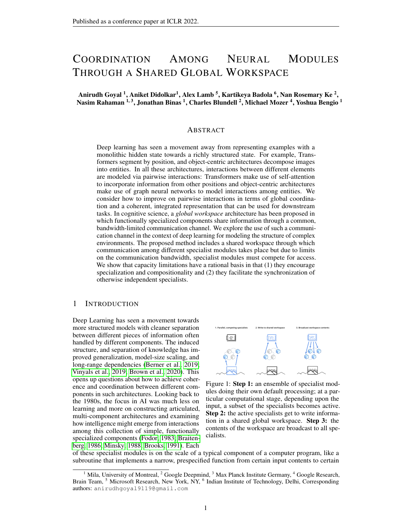# COORDINATION AMONG NEURAL MODULES THROUGH A SHARED GLOBAL WORKSPACE

Anirudh Goyal  $^1,$  Aniket Didolkar $^1,$  Alex Lamb  $^5,$  Kartikeya Badola  $^6,$  Nan Rosemary Ke  $^2,$ Nasim Rahaman <sup>1, 3</sup>, Jonathan Binas <sup>1</sup>, Charles Blundell <sup>2</sup>, Michael Mozer <sup>4</sup>, Yoshua Bengio <sup>1</sup>

# ABSTRACT

Deep learning has seen a movement away from representing examples with a monolithic hidden state towards a richly structured state. For example, Transformers segment by position, and object-centric architectures decompose images into entities. In all these architectures, interactions between different elements are modeled via pairwise interactions: Transformers make use of self-attention to incorporate information from other positions and object-centric architectures make use of graph neural networks to model interactions among entities. We consider how to improve on pairwise interactions in terms of global coordination and a coherent, integrated representation that can be used for downstream tasks. In cognitive science, a *global workspace* architecture has been proposed in which functionally specialized components share information through a common, bandwidth-limited communication channel. We explore the use of such a communication channel in the context of deep learning for modeling the structure of complex environments. The proposed method includes a shared workspace through which communication among different specialist modules takes place but due to limits on the communication bandwidth, specialist modules must compete for access. We show that capacity limitations have a rational basis in that (1) they encourage specialization and compositionality and (2) they facilitate the synchronization of otherwise independent specialists.

# 1 INTRODUCTION

Deep Learning has seen a movement towards more structured models with cleaner separation between different pieces of information often handled by different components. The induced structure, and separation of knowledge has improved generalization, model-size scaling, and long-range dependencies [\(Berner et al., 2019;](#page-9-0) [Vinyals et al., 2019;](#page-12-0) [Brown et al., 2020\)](#page-9-1). This opens up questions about how to achieve coherence and coordination between different components in such architectures. Looking back to the 1980s, the focus in AI was much less on learning and more on constructing articulated, multi-component architectures and examining how intelligence might emerge from interactions among this collection of simple, functionally specialized components [\(Fodor, 1983;](#page-10-0) [Braiten](#page-9-2)[berg, 1986;](#page-9-2) [Minsky, 1988;](#page-11-0) [Brooks, 1991\)](#page-9-3). Each



<span id="page-0-0"></span>Figure 1: Step 1: an ensemble of specialist modules doing their own default processing; at a particular computational stage, depending upon the input, a subset of the specialists becomes active. Step 2: the active specialists get to write information in a shared global workspace. Step 3: the contents of the workspace are broadcast to all specialists.

of these specialist modules is on the scale of a typical component of a computer program, like a subroutine that implements a narrow, prespecified function from certain input contents to certain

<sup>&</sup>lt;sup>1</sup> Mila, University of Montreal,  $2$  Google Deepmind,  $3$  Max Planck Institute Germany,  $4$  Google Research, Brain Team, <sup>5</sup> Microsoft Research, New York, NY, <sup>6</sup> Indian Institute of Technology, Delhi, Corresponding authors: anirudhgoyal9119@gmail.com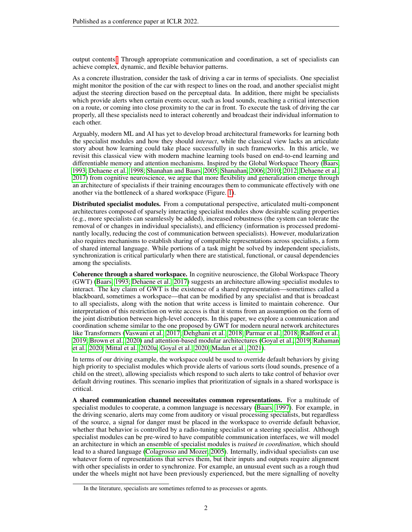output contents[.](#page-1-0) Through appropriate communication and coordination, a set of specialists can achieve complex, dynamic, and flexible behavior patterns.

As a concrete illustration, consider the task of driving a car in terms of specialists. One specialist might monitor the position of the car with respect to lines on the road, and another specialist might adjust the steering direction based on the perceptual data. In addition, there might be specialists which provide alerts when certain events occur, such as loud sounds, reaching a critical intersection on a route, or coming into close proximity to the car in front. To execute the task of driving the car properly, all these specialists need to interact coherently and broadcast their individual information to each other.

Arguably, modern ML and AI has yet to develop broad architectural frameworks for learning both the specialist modules and how they should *interact*, while the classical view lacks an articulate story about how learning could take place successfully in such frameworks. In this article, we revisit this classical view with modern machine learning tools based on end-to-end learning and differentiable memory and attention mechanisms. Inspired by the Global Workspace Theory [\(Baars,](#page-9-4) [1993;](#page-9-4) [Dehaene et al., 1998;](#page-10-1) [Shanahan and Baars, 2005;](#page-12-1) [Shanahan, 2006;](#page-11-1) [2010;](#page-11-2) [2012;](#page-11-3) [Dehaene et al.,](#page-9-5) [2017\)](#page-9-5) from cognitive neuroscience, we argue that more flexibility and generalization emerge through an architecture of specialists if their training encourages them to communicate effectively with one another via the bottleneck of a shared workspace (Figure. [1\)](#page-0-0).

Distributed specialist modules. From a computational perspective, articulated multi-component architectures composed of sparsely interacting specialist modules show desirable scaling properties (e.g., more specialists can seamlessly be added), increased robustness (the system can tolerate the removal of or changes in individual specialists), and efficiency (information is processed predominantly locally, reducing the cost of communication between specialists). However, modularization also requires mechanisms to establish sharing of compatible representations across specialists, a form of shared internal language. While portions of a task might be solved by independent specialists, synchronization is critical particularly when there are statistical, functional, or causal dependencies among the specialists.

Coherence through a shared workspace. In cognitive neuroscience, the Global Workspace Theory (GWT) [\(Baars, 1993;](#page-9-4) [Dehaene et al., 2017\)](#page-9-5) suggests an architecture allowing specialist modules to interact. The key claim of GWT is the existence of a shared representation—sometimes called a blackboard, sometimes a workspace—that can be modified by any specialist and that is broadcast to all specialists, along with the notion that write access is limited to maintain coherence. Our interpretation of this restriction on write access is that it stems from an assumption on the form of the joint distribution between high-level concepts. In this paper, we explore a communication and coordination scheme similar to the one proposed by GWT for modern neural network architectures like Transformers [\(Vaswani et al., 2017;](#page-12-2) [Dehghani et al., 2018;](#page-10-2) [Parmar et al., 2018;](#page-11-4) [Radford et al.,](#page-11-5) [2019;](#page-11-5) [Brown et al., 2020\)](#page-9-1) and attention-based modular architectures [\(Goyal et al., 2019;](#page-10-3) [Rahaman](#page-11-6) [et al., 2020;](#page-11-6) [Mittal et al., 2020a;](#page-11-7) [Goyal et al., 2020;](#page-10-4) [Madan et al., 2021\)](#page-11-8).

In terms of our driving example, the workspace could be used to override default behaviors by giving high priority to specialist modules which provide alerts of various sorts (loud sounds, presence of a child on the street), allowing specialists which respond to such alerts to take control of behavior over default driving routines. This scenario implies that prioritization of signals in a shared workspace is critical.

A shared communication channel necessitates common representations. For a multitude of specialist modules to cooperate, a common language is necessary [\(Baars, 1997\)](#page-9-6). For example, in the driving scenario, alerts may come from auditory or visual processing specialists, but regardless of the source, a signal for danger must be placed in the workspace to override default behavior, whether that behavior is controlled by a radio-tuning specialist or a steering specialist. Although specialist modules can be pre-wired to have compatible communication interfaces, we will model an architecture in which an ensemble of specialist modules is *trained in coordination*, which should lead to a shared language [\(Colagrosso and Mozer, 2005\)](#page-9-7). Internally, individual specialists can use whatever form of representations that serves them, but their inputs and outputs require alignment with other specialists in order to synchronize. For example, an unusual event such as a rough thud under the wheels might not have been previously experienced, but the mere signalling of novelty

<span id="page-1-0"></span>In the literature, specialists are sometimes referred to as processes or agents.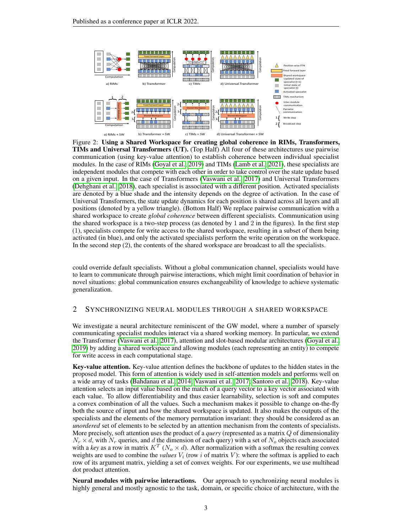

<span id="page-2-0"></span>Figure 2: Using a Shared Workspace for creating global coherence in RIMs, Transformers, TIMs and Universal Transformers (UT). (Top Half) All four of these architectures use pairwise communication (using key-value attention) to establish coherence between individual specialist modules. In the case of RIMs [\(Goyal et al., 2019\)](#page-10-3) and TIMs [\(Lamb et al., 2021\)](#page-10-5), these specialists are independent modules that compete with each other in order to take control over the state update based on a given input. In the case of Transformers [\(Vaswani et al., 2017\)](#page-12-2) and Universal Transformers [\(Dehghani et al., 2018\)](#page-10-2), each specialist is associated with a different position. Activated specialists are denoted by a blue shade and the intensity depends on the degree of activation. In the case of Universal Transformers, the state update dynamics for each position is shared across all layers and all positions (denoted by a yellow triangle). (Bottom Half) We replace pairwise communication with a shared workspace to create *global coherence* between different specialists. Communication using the shared workspace is a two-step process (as denoted by 1 and 2 in the figures). In the first step (1), specialists compete for write access to the shared workspace, resulting in a subset of them being activated (in blue), and only the activated specialists perform the write operation on the workspace. In the second step (2), the contents of the shared workspace are broadcast to all the specialists.

could override default specialists. Without a global communication channel, specialists would have to learn to communicate through pairwise interactions, which might limit coordination of behavior in novel situations: global communication ensures exchangeability of knowledge to achieve systematic generalization.

# <span id="page-2-1"></span>2 SYNCHRONIZING NEURAL MODULES THROUGH A SHARED WORKSPACE

We investigate a neural architecture reminiscent of the GW model, where a number of sparsely communicating specialist modules interact via a shared working memory. In particular, we extend the Transformer [\(Vaswani et al., 2017\)](#page-12-2), attention and slot-based modular architectures [\(Goyal et al.,](#page-10-3) [2019\)](#page-10-3) by adding a shared workspace and allowing modules (each representing an entity) to compete for write access in each computational stage.

Key-value attention. Key-value attention defines the backbone of updates to the hidden states in the proposed model. This form of attention is widely used in self-attention models and performs well on a wide array of tasks [\(Bahdanau et al., 2014;](#page-9-8) [Vaswani et al., 2017;](#page-12-2) [Santoro et al., 2018\)](#page-11-9). Key-value attention selects an input value based on the match of a query vector to a key vector associated with each value. To allow differentiability and thus easier learnability, selection is soft and computes a convex combination of all the values. Such a mechanism makes it possible to change on-the-fly both the source of input and how the shared workspace is updated. It also makes the outputs of the specialists and the elements of the memory permutation invariant: they should be considered as an *unordered* set of elements to be selected by an attention mechanism from the contents of specialists. More precisely, soft attention uses the product of a *query* (represented as a matrix Q of dimensionality  $N_r \times d$ , with  $N_r$  queries, and d the dimension of each query) with a set of  $N_o$  objects each associated with a *key* as a row in matrix  $K^T$  ( $N_o \times d$ ). After normalization with a softmax the resulting convex weights are used to combine the *values*  $V_i$  (row i of matrix V): where the softmax is applied to each row of its argument matrix, yielding a set of convex weights. For our experiments, we use multihead dot product attention.

Neural modules with pairwise interactions. Our approach to synchronizing neural modules is highly general and mostly agnostic to the task, domain, or specific choice of architecture, with the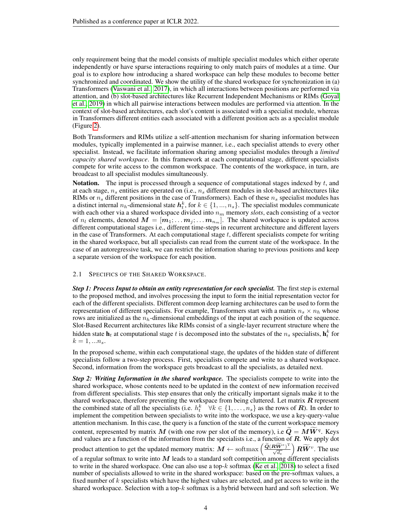only requirement being that the model consists of multiple specialist modules which either operate independently or have sparse interactions requiring to only match pairs of modules at a time. Our goal is to explore how introducing a shared workspace can help these modules to become better synchronized and coordinated. We show the utility of the shared workspace for synchronization in (a) Transformers [\(Vaswani et al., 2017\)](#page-12-2), in which all interactions between positions are performed via attention, and (b) slot-based architectures like Recurrent Independent Mechanisms or RIMs [\(Goyal](#page-10-3) [et al., 2019\)](#page-10-3) in which all pairwise interactions between modules are performed via attention. In the context of slot-based architectures, each slot's content is associated with a specialist module, whereas in Transformers different entities each associated with a different position acts as a specialist module (Figure [2\)](#page-2-0).

Both Transformers and RIMs utilize a self-attention mechanism for sharing information between modules, typically implemented in a pairwise manner, i.e., each specialist attends to every other specialist. Instead, we facilitate information sharing among specialist modules through a *limited capacity shared workspace*. In this framework at each computational stage, different specialists compete for write access to the common workspace. The contents of the workspace, in turn, are broadcast to all specialist modules simultaneously.

**Notation.** The input is processed through a sequence of computational stages indexed by  $t$ , and at each stage,  $n_s$  entities are operated on (i.e.,  $n_s$  different modules in slot-based architectures like RIMs or  $n<sub>s</sub>$  different positions in the case of Transformers). Each of these  $n<sub>s</sub>$  specialist modules has a distinct internal  $n_h$ -dimensional state  $h_t^k$ , for  $k \in \{1, ..., n_s\}$ . The specialist modules communicate with each other via a shared workspace divided into  $n<sub>m</sub>$  memory *slots*, each consisting of a vector of  $n_l$  elements, denoted  $\mathbf{M} = [\mathbf{m}_1; \dots; \mathbf{m}_j; \dots; \mathbf{m}_{n_m}]$ . The shared workspace is updated across different computational stages i.e., different time-steps in recurrent architecture and different layers in the case of Transformers. At each computational stage  $t$ , different specialists compete for writing in the shared workspace, but all specialists can read from the current state of the workspace. In the case of an autoregressive task, we can restrict the information sharing to previous positions and keep a separate version of the workspace for each position.

#### <span id="page-3-0"></span>2.1 SPECIFICS OF THE SHARED WORKSPACE.

*Step 1: Process Input to obtain an entity representation for each specialist.* The first step is external to the proposed method, and involves processing the input to form the initial representation vector for each of the different specialists. Different common deep learning architectures can be used to form the representation of different specialists. For example, Transformers start with a matrix  $n_s \times n_h$  whose rows are initialized as the  $n_h$ -dimensional embeddings of the input at each position of the sequence. Slot-Based Recurrent architectures like RIMs consist of a single-layer recurrent structure where the hidden state  $\mathbf{h}_t$  at computational stage t is decomposed into the substates of the  $n_s$  specialists,  $\mathbf{h}_t^k$  for  $k = 1, ..., n_s$ .

In the proposed scheme, within each computational stage, the updates of the hidden state of different specialists follow a two-step process. First, specialists compete and write to a shared workspace. Second, information from the workspace gets broadcast to all the specialists, as detailed next.

*Step 2: Writing Information in the shared workspace.* The specialists compete to write into the shared workspace, whose contents need to be updated in the context of new information received from different specialists. This step ensures that only the critically important signals make it to the shared workspace, therefore preventing the workspace from being cluttered. Let matrix  $R$  represent the combined state of all the specialists (i.e.  $h_t^k$   $\forall k \in \{1, \ldots, n_s\}$  as the rows of  $\mathbf{R}$ ). In order to implement the competition between specialists to write into the workspace, we use a key-query-value attention mechanism. In this case, the query is a function of the state of the current workspace memory content, represented by matrix M (with one row per slot of the memory), i.e  $\tilde{Q} = M\tilde{W}^q$ . Keys and values are a function of the information from the specialists i.e., a function of  $R$ . We apply dot product attention to get the updated memory matrix:  $M \leftarrow \text{softmax}\left(\frac{\widetilde{Q}(\bm{R}\widetilde{\bm{W}}^{e})^{\text{T}}}{\sqrt{d_e}}\right)$  $\Big)$   $R\widetilde{W}^v$ . The use of a regular softmax to write into  $M$  leads to a standard soft competition among different specialists to write in the shared workspace. One can also use a top- $k$  softmax [\(Ke et al., 2018\)](#page-10-6) to select a fixed number of specialists allowed to write in the shared workspace: based on the pre-softmax values, a fixed number of k specialists which have the highest values are selected, and get access to write in the shared workspace. Selection with a top- $k$  softmax is a hybrid between hard and soft selection. We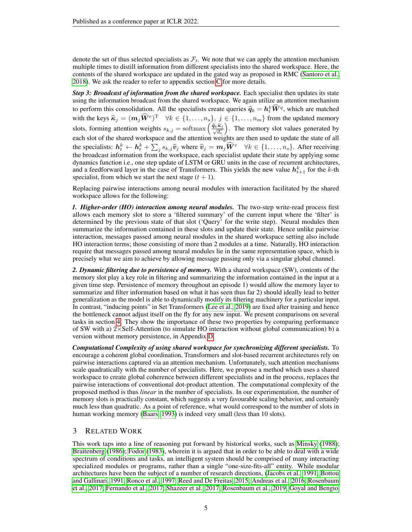denote the set of thus selected specialists as  $\mathcal{F}_t$ . We note that we can apply the attention mechanism multiple times to distill information from different specialists into the shared workspace. Here, the contents of the shared workspace are updated in the gated way as proposed in RMC [\(Santoro et al.,](#page-11-9) [2018\)](#page-11-9). We ask the reader to refer to appendix section [C](#page-16-0) for more details.

*Step 3: Broadcast of information from the shared workspace.* Each specialist then updates its state using the information broadcast from the shared workspace. We again utilize an attention mechanism to perform this consolidation. All the specialists create queries  $\hat{q}_k = h_k^k \hat{W}^q$ , which are matched with the keys  $\hat{\kappa}_j = (m_j \hat{W}^e)^{\text{T}}$   $\forall k \in \{1, ..., n_s\}, j \in \{1, ..., n_m\}$  from the updated memory slots, forming attention weights  $s_{k,j} = \text{softmax}\left(\frac{\hat{q}_k \hat{\kappa}_j}{\sqrt{d_e}}\right)$  . The memory slot values generated by each slot of the shared workspace and the attention weights are then used to update the state of all the specialists:  $h_t^k \leftarrow h_t^k + \sum_j s_{k,j} \hat{v}_j$  where  $\hat{v}_j = m_j \hat{W}^v \quad \forall k \in \{1, ..., n_s\}$ . After receiving the broadcast information from the workspace, each specialist update their state by applying some dynamics function i.e., one step update of LSTM or GRU units in the case of recurrent architectures, and a feedforward layer in the case of Transformers. This yields the new value  $h_{t+1}^k$  for the k-th specialist, from which we start the next stage  $(t + 1)$ .

Replacing pairwise interactions among neural modules with interaction facilitated by the shared workspace allows for the following:

*1. Higher-order (HO) interaction among neural modules.* The two-step write-read process first allows each memory slot to store a 'filtered summary' of the current input where the 'filter' is determined by the previous state of that slot ('Query' for the write step). Neural modules then summarize the information contained in these slots and update their state. Hence unlike pairwise interaction, messages passed among neural modules in the shared workspace setting also include HO interaction terms; those consisting of more than 2 modules at a time. Naturally, HO interaction require that messages passed among neural modules lie in the same representation space, which is precisely what we aim to achieve by allowing message passing only via a singular global channel.

*2. Dynamic filtering due to persistence of memory.* With a shared workspace (SW), contents of the memory slot play a key role in filtering and summarizing the information contained in the input at a given time step. Persistence of memory throughout an episode 1) would allow the memory layer to summarize and filter information based on what it has seen thus far 2) should ideally lead to better generalization as the model is able to dynamically modify its filtering machinery for a particular input. In contrast, "inducing points" in Set Transformers [\(Lee et al., 2019\)](#page-10-7) are fixed after training and hence the bottleneck cannot adjust itself on the fly for any new input. We present comparisons on several tasks in section [4.](#page-5-0) They show the importance of these two properties by comparing performance of SW with a)  $2 \times$ Self-Attention (to simulate HO interaction without global communication) b) a version without memory persistence, in Appendix [D.](#page-16-1)

*Computational Complexity of using shared workspace for synchronizing different specialists.* To encourage a coherent global coordination, Transformers and slot-based recurrent architectures rely on pairwise interactions captured via an attention mechanism. Unfortunately, such attention mechanisms scale quadratically with the number of specialists. Here, we propose a method which uses a shared workspace to create global coherence between different specialists and in the process, replaces the pairwise interactions of conventional dot-product attention. The computational complexity of the proposed method is thus *linear* in the number of specialists. In our experimentation, the number of memory slots is practically constant, which suggests a very favourable scaling behavior, and certainly much less than quadratic. As a point of reference, what would correspond to the number of slots in human working memory [\(Baars, 1993\)](#page-9-4) is indeed very small (less than 10 slots).

# 3 RELATED WORK

This work taps into a line of reasoning put forward by historical works, such as [Minsky](#page-11-0) [\(1988\)](#page-11-0); [Braitenberg](#page-9-2) [\(1986\)](#page-9-2); [Fodor](#page-10-0) [\(1983\)](#page-10-0), wherein it is argued that in order to be able to deal with a wide spectrum of conditions and tasks, an intelligent system should be comprised of many interacting specialized modules or programs, rather than a single "one-size-fits-all" entity. While modular architectures have been the subject of a number of research directions, [\(Jacobs et al., 1991;](#page-10-8) [Bottou](#page-9-9) [and Gallinari, 1991;](#page-9-9) [Ronco et al., 1997;](#page-11-10) [Reed and De Freitas, 2015;](#page-11-11) [Andreas et al., 2016;](#page-9-10) [Rosenbaum](#page-11-12) [et al., 2017;](#page-11-12) [Fernando et al., 2017;](#page-10-9) [Shazeer et al., 2017;](#page-12-3) [Rosenbaum et al., 2019;](#page-11-13) [Goyal and Bengio,](#page-10-10)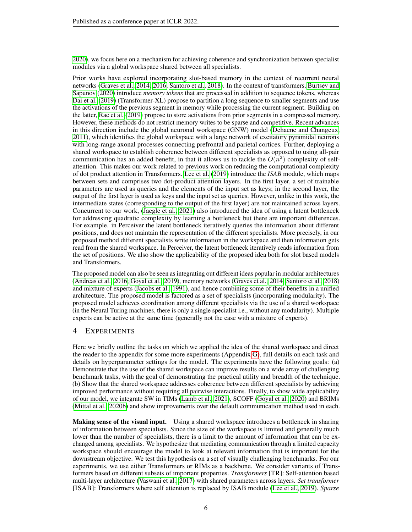[2020\)](#page-10-10), we focus here on a mechanism for achieving coherence and synchronization between specialist modules via a global workspace shared between all specialists.

Prior works have explored incorporating slot-based memory in the context of recurrent neural networks [\(Graves et al., 2014;](#page-10-11) [2016;](#page-10-12) [Santoro et al., 2018\)](#page-11-9). In the context of transformers, [Burtsev and](#page-9-11) [Sapunov](#page-9-11) [\(2020\)](#page-9-11) introduce *memory tokens* that are processed in addition to sequence tokens, whereas [Dai et al.](#page-9-12) [\(2019\)](#page-9-12) (Transformer-XL) propose to partition a long sequence to smaller segments and use the activations of the previous segment in memory while processing the current segment. Building on the latter, [Rae et al.](#page-11-14) [\(2019\)](#page-11-14) propose to store activations from prior segments in a compressed memory. However, these methods do not restrict memory writes to be sparse and competitive. Recent advances in this direction include the global neuronal workspace (GNW) model [\(Dehaene and Changeux,](#page-9-13) [2011\)](#page-9-13), which identifies the global workspace with a large network of excitatory pyramidal neurons with long-range axonal processes connecting prefrontal and parietal cortices. Further, deploying a shared workspace to establish coherence between different specialists as opposed to using all-pair communication has an added benefit, in that it allows us to tackle the  $O(n^2)$  complexity of selfattention. This makes our work related to previous work on reducing the computational complexity of dot product attention in Transformers. [Lee et al.](#page-10-7) [\(2019\)](#page-10-7) introduce the *ISAB* module, which maps between sets and comprises two dot-product attention layers. In the first layer, a set of trainable parameters are used as queries and the elements of the input set as keys; in the second layer, the output of the first layer is used as keys and the input set as queries. However, unlike in this work, the intermediate states (corresponding to the output of the first layer) are not maintained across layers. Concurrent to our work, [\(Jaegle et al., 2021\)](#page-10-13) also introduced the idea of using a latent bottleneck for addressing quadratic complexity by learning a bottleneck but there are important differences. For example. in Perceiver the latent bottleneck iteratively queries the information about different positions, and does not maintain the representation of the different specialists. More precisely, in our proposed method different specialists write information in the workspace and then information gets read from the shared workspace. In Perceiver, the latent bottleneck iteratively reads information from the set of positions. We also show the applicability of the proposed idea both for slot based models and Transformers.

The proposed model can also be seen as integrating out different ideas popular in modular architectures [\(Andreas et al., 2016;](#page-9-10) [Goyal et al., 2019\)](#page-10-3), memory networks [\(Graves et al., 2014;](#page-10-11) [Santoro et al., 2018\)](#page-11-9) and mixture of experts [\(Jacobs et al., 1991\)](#page-10-8), and hence combining some of their benefits in a unified architecture. The proposed model is factored as a set of specialists (incorporating modularity). The proposed model achieves coordination among different specialists via the use of a shared workspace (in the Neural Turing machines, there is only a single specialist i.e., without any modularity). Multiple experts can be active at the same time (generally not the case with a mixture of experts).

# <span id="page-5-0"></span>4 EXPERIMENTS

Here we briefly outline the tasks on which we applied the idea of the shared workspace and direct the reader to the appendix for some more experiments (Appendix [G\)](#page-18-0), full details on each task and details on hyperparameter settings for the model. The experiments have the following goals: (a) Demonstrate that the use of the shared workspace can improve results on a wide array of challenging benchmark tasks, with the goal of demonstrating the practical utility and breadth of the technique. (b) Show that the shared workspace addresses coherence between different specialists by achieving improved performance without requiring all pairwise interactions. Finally, to show wide applicability of our model, we integrate SW in TIMs [\(Lamb et al., 2021\)](#page-10-5), SCOFF [\(Goyal et al., 2020\)](#page-10-4) and BRIMs [\(Mittal et al., 2020b\)](#page-11-15) and show improvements over the default communication method used in each.

**Making sense of the visual input.** Using a shared workspace introduces a bottleneck in sharing of information between specialists. Since the size of the workspace is limited and generally much lower than the number of specialists, there is a limit to the amount of information that can be exchanged among specialists. We hypothesize that mediating communication through a limited capacity workspace should encourage the model to look at relevant information that is important for the downstream objective. We test this hypothesis on a set of visually challenging benchmarks. For our experiments, we use either Transformers or RIMs as a backbone. We consider variants of Transformers based on different subsets of important properties. *Transformers* [TR]: Self-attention based multi-layer architecture [\(Vaswani et al., 2017\)](#page-12-2) with shared parameters across layers. *Set transformer* [ISAB]: Transformers where self attention is replaced by ISAB module [\(Lee et al., 2019\)](#page-10-7). *Sparse*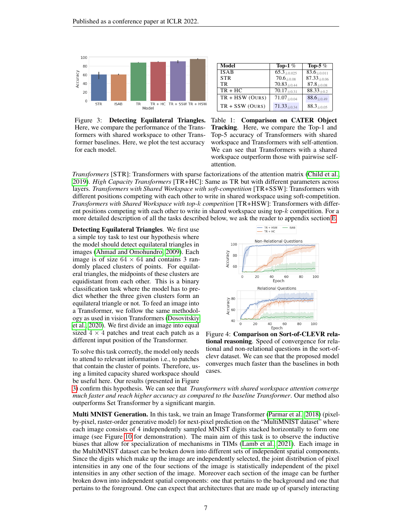

<span id="page-6-0"></span>Figure 3: Detecting Equilateral Triangles. Here, we compare the performance of the Transformers with shared workspace to other Transformer baselines. Here, we plot the test accuracy for each model.

| Model             | Top-1 $%$                     | Top-5 $%$                     |
|-------------------|-------------------------------|-------------------------------|
| ISAB              | $65.3_{\pm 0.025}$            | $83.6 + 0.011$                |
| <b>STR</b>        | $70.6_{\pm 0.08}$             | $87.33_{\pm 0.06}$            |
| TR.               | $70.83_{\pm 0.44}$            | $87.8_{+0.08}$                |
| $TR + HC$         | $\overline{70.17}_{\pm 0.31}$ | $88.33_{+0.2}$                |
| $TR + HSW (OURS)$ | $71.07_{+0.04}$               | $88.6{\scriptstyle \pm 0.49}$ |
| $TR + SSW (OURS)$ | $71.33_{+0.34}$               | $88.3_{\pm 0.05}$             |

<span id="page-6-1"></span>Table 1: Comparison on CATER Object Tracking. Here, we compare the Top-1 and Top-5 accuracy of Transformers with shared workspace and Transformers with self-attention. We can see that Transformers with a shared workspace outperform those with pairwise selfattention.

*Transformers* [STR]: Transformers with sparse factorizations of the attention matrix [\(Child et al.,](#page-9-14) [2019\)](#page-9-14). *High Capacity Transformers* [TR+HC]: Same as TR but with different parameters across layers. *Transformers with Shared Workspace with soft-competition* [TR+SSW]: Transformers with different positions competing with each other to write in shared workspace using soft-competition. *Transformers with Shared Workspace with top-*k *competition* [TR+HSW]: Transformers with different positions competing with each other to write in shared workspace using top-k competition. For a more detailed description of all the tasks described below, we ask the reader to appendix section [E.](#page-17-0)

Detecting Equilateral Triangles. We first use a simple toy task to test our hypothesis where the model should detect equilateral triangles in images [\(Ahmad and Omohundro, 2009\)](#page-9-15). Each image is of size  $64 \times 64$  and contains 3 randomly placed clusters of points. For equilateral triangles, the midpoints of these clusters are equidistant from each other. This is a binary classification task where the model has to predict whether the three given clusters form an equilateral triangle or not. To feed an image into a Transformer, we follow the same methodology as used in vision Transformers [\(Dosovitskiy](#page-10-14) [et al., 2020\)](#page-10-14). We first divide an image into equal sized  $4 \times 4$  patches and treat each patch as a different input position of the Transformer.

To solve this task correctly, the model only needs to attend to relevant information i.e., to patches that contain the cluster of points. Therefore, using a limited capacity shared workspace should be useful here. Our results (presented in Figure



<span id="page-6-2"></span>Figure 4: Comparison on Sort-of-CLEVR relational reasoning. Speed of convergence for relational and non-relational questions in the sort-ofclevr dataset. We can see that the proposed model converges much faster than the baselines in both cases.

[3\)](#page-6-0) confirm this hypothesis. We can see that *Transformers with shared workspace attention converge much faster and reach higher accuracy as compared to the baseline Transformer*. Our method also outperforms Set Transformer by a significant margin.

Multi MNIST Generation. In this task, we train an Image Transformer [\(Parmar et al., 2018\)](#page-11-4) (pixelby-pixel, raster-order generative model) for next-pixel prediction on the "MultiMNIST dataset" where each image consists of 4 independently sampled MNIST digits stacked horizontally to form one image (see Figure [10](#page-20-0) for demonstration). The main aim of this task is to observe the inductive biases that allow for specialization of mechanisms in TIMs [\(Lamb et al., 2021\)](#page-10-5). Each image in the MultiMNIST dataset can be broken down into different sets of independent spatial components. Since the digits which make up the image are independently selected, the joint distribution of pixel intensities in any one of the four sections of the image is statistically independent of the pixel intensities in any other section of the image. Moreover each section of the image can be further broken down into independent spatial components: one that pertains to the background and one that pertains to the foreground. One can expect that architectures that are made up of sparsely interacting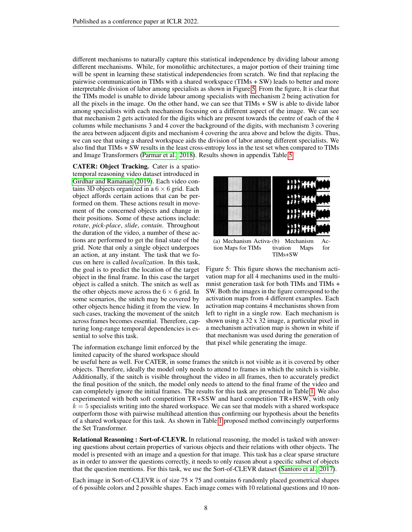different mechanisms to naturally capture this statistical independence by dividing labour among different mechanisms. While, for monolithic architectures, a major portion of their training time will be spent in learning these statistical independencies from scratch. We find that replacing the pairwise communication in TIMs with a shared workspace (TIMs + SW) leads to better and more interpretable division of labor among specialists as shown in Figure [5.](#page-7-0) From the figure, It is clear that the TIMs model is unable to divide labour among specialists with mechanism 2 being activation for all the pixels in the image. On the other hand, we can see that TIMs + SW is able to divide labor among specialists with each mechanism focusing on a different aspect of the image. We can see that mechanism 2 gets activated for the digits which are present towards the centre of each of the 4 columns while mechanisms 3 and 4 cover the background of the digits, with mechanism 3 covering the area between adjacent digits and mechanism 4 covering the area above and below the digits. Thus, we can see that using a shared workspace aids the division of labor among different specialists. We also find that TIMs + SW results in the least cross-entropy loss in the test set when compared to TIMs and Image Transformers [\(Parmar et al., 2018\)](#page-11-4). Results shown in appendix Table [5.](#page-20-1)

CATER: Object Tracking. Cater is a spatiotemporal reasoning video dataset introduced in [Girdhar and Ramanan](#page-10-15) [\(2019\)](#page-10-15). Each video contains 3D objects organized in a  $6 \times 6$  grid. Each object affords certain actions that can be performed on them. These actions result in movement of the concerned objects and change in their positions. Some of these actions include: *rotate*, *pick-place*, *slide*, *contain*. Throughout the duration of the video, a number of these actions are performed to get the final state of the grid. Note that only a single object undergoes an action, at any instant. The task that we focus on here is called *localization*. In this task, the goal is to predict the location of the target object in the final frame. In this case the target object is called a snitch. The snitch as well as the other objects move across the  $6 \times 6$  grid. In some scenarios, the snitch may be covered by other objects hence hiding it from the view. In such cases, tracking the movement of the snitch across frames becomes essential. Therefore, capturing long-range temporal dependencies is essential to solve this task.

# The information exchange limit enforced by the limited capacity of the shared workspace should



tion Maps for TIMs tivation Maps for TIMs+SW

<span id="page-7-0"></span>Figure 5: This figure shows the mechanism activation map for all 4 mechanims used in the multimnist generation task for both TIMs and TIMs + SW. Both the images in the figure correspond to the activation maps from 4 different examples. Each activation map contains 4 mechanisms shown from left to right in a single row. Each mechanism is shown using a 32 x 32 image, a particular pixel in a mechanism activation map is shown in white if that mechanism was used during the generation of that pixel while generating the image.

be useful here as well. For CATER, in some frames the snitch is not visible as it is covered by other objects. Therefore, ideally the model only needs to attend to frames in which the snitch is visible. Additionally, if the snitch is visible throughout the video in all frames, then to accurately predict the final position of the snitch, the model only needs to attend to the final frame of the video and can completely ignore the initial frames. The results for this task are presented in Table [1.](#page-6-1) We also experimented with both soft competition TR+SSW and hard competition TR+HSW, with only  $k = 5$  specialists writing into the shared workspace. We can see that models with a shared workspace outperform those with pairwise multihead attention thus confirming our hypothesis about the benefits of a shared workspace for this task. As shown in Table [1](#page-6-1) proposed method convincingly outperforms the Set Transformer.

Relational Reasoning : Sort-of-CLEVR. In relational reasoning, the model is tasked with answering questions about certain properties of various objects and their relations with other objects. The model is presented with an image and a question for that image. This task has a clear sparse structure as in order to answer the questions correctly, it needs to only reason about a specific subset of objects that the question mentions. For this task, we use the Sort-of-CLEVR dataset [\(Santoro et al., 2017\)](#page-11-16).

Each image in Sort-of-CLEVR is of size  $75 \times 75$  and contains 6 randomly placed geometrical shapes of 6 possible colors and 2 possible shapes. Each image comes with 10 relational questions and 10 non-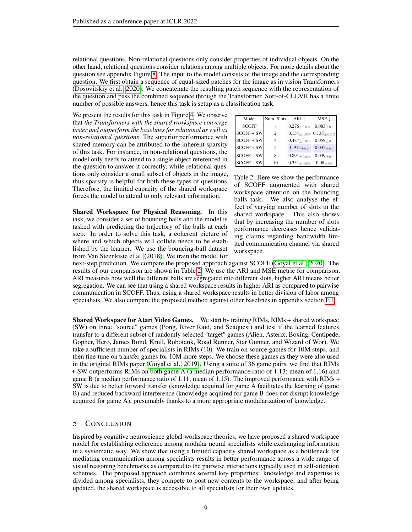relational questions. Non-relational questions only consider properties of individual objects. On the other hand, relational questions consider relations among multiple objects. For more details about the question see appendix Figure [8.](#page-17-1) The input to the model consists of the image and the corresponding question. We first obtain a sequence of equal-sized patches for the image as in vision Transformers [\(Dosovitskiy et al., 2020\)](#page-10-14). We concatenate the resulting patch sequence with the representation of the question and pass the combined sequence through the Transformer. Sort-of-CLEVR has a finite number of possible answers, hence this task is setup as a classification task.

We present the results for this task in Figure [4.](#page-6-2) We observe that *the Transformers with the shared workspace converge faster and outperform the baselines for relational as well as non-relational questions*. The superior performance with shared memory can be attributed to the inherent sparsity of this task. For instance, in non-relational questions, the model only needs to attend to a single object referenced in the question to answer it correctly, while relational questions only consider a small subset of objects in the image, thus sparsity is helpful for both these types of questions. Therefore, the limited capacity of the shared workspace forces the model to attend to only relevant information.

Shared Workspace for Physical Reasoning. In this task, we consider a set of bouncing balls and the model is tasked with predicting the trajectory of the balls at each step. In order to solve this task, a coherent picture of where and which objects will collide needs to be established by the learner. We use the bouncing-ball dataset from [Van Steenkiste et al.](#page-12-4) [\(2018\)](#page-12-4). We train the model for

| Model        | Num. Slots     | $ARI$ $\uparrow$   | $MSE \downarrow$ |
|--------------|----------------|--------------------|------------------|
| <b>SCOFF</b> |                | $0.276 + 0.001$    | $0.083 + 0.0$    |
| $SCOFF + SW$ | $\mathfrak{D}$ | $0.154_{+0.007}$   | $0.135 + 0.002$  |
| $SCOFF + SW$ | 4              | $0.487_{\pm0.085}$ | $0.059_{+0.0}$   |
| $SCOFF + SW$ | 5              | $0.915_{+0.0}$     | $0.035 + 0.0$    |
| $SCOFF + SW$ | 8              | $0.891\pm_{0.001}$ | $0.039_{+0.0}$   |
| $SCOFF + SW$ | 10             | $0.351_{+0.001}$   | $0.08_{+0.0}$    |

<span id="page-8-0"></span>Table 2: Here we show the performance of SCOFF augmented with shared workspace attention on the bouncing balls task. We also analyse the effect of varying number of slots in the shared workspace. This also shows that by increasing the number of slots performance decreases hence validating claims regarding bandwidth limited communication channel via shared workspace.

next-step prediction. We compare the proposed approach against SCOFF [\(Goyal et al., 2020\)](#page-10-4). The results of our comparison are shown in Table [2.](#page-8-0) We use the ARI and MSE metric for comparison. ARI measures how well the different balls are segregated into different slots, higher ARI means better segregation. We can see that using a shared workspace results in higher ARI as compared to pairwise communication in SCOFF. Thus, using a shared workspace results in better division of labor among specialists. We also compare the proposed method against other baselines in appendix section [F.1.](#page-18-1)

Shared Workspace for Atari Video Games. We start by training RIMs, RIMs + shared workspace (SW) on three "source" games (Pong, River Raid, and Seaquest) and test if the learned features transfer to a different subset of randomly selected "target" games (Alien, Asterix, Boxing, Centipede, Gopher, Hero, James Bond, Krull, Robotank, Road Runner, Star Gunner, and Wizard of Wor). We take a sufficient number of specialists in RIMs (10). We train on source games for 10M steps, and then fine-tune on transfer games for 10M more steps. We choose these games as they were also used in the original RIMs paper [\(Goyal et al., 2019\)](#page-10-3). Using a suite of 36 game pairs, we find that RIMs + SW outperforms RIMs on both game A (a median performance ratio of 1.13; mean of 1.16) and game B (a median performance ratio of 1.11; mean of 1.15). The improved performance with RIMs + SW is due to better forward transfer (knowledge acquired for game A facilitates the learning of game B) and reduced backward interference (knowledge acquired for game B does not disrupt knowledge acquired for game A), presumably thanks to a more appropriate modularization of knowledge.

#### 5 CONCLUSION

Inspired by cognitive neuroscience global workspace theories, we have proposed a shared workspace model for establishing coherence among modular neural specialists while exchanging information in a systematic way. We show that using a limited capacity shared workspace as a bottleneck for mediating communication among specialists results in better performance across a wide range of visual reasoning benchmarks as compared to the pairwise interactions typically used in self-attention schemes. The proposed approach combines several key properties: knowledge and expertise is divided among specialists, they compete to post new contents to the workspace, and after being updated, the shared workspace is accessible to all specialists for their own updates.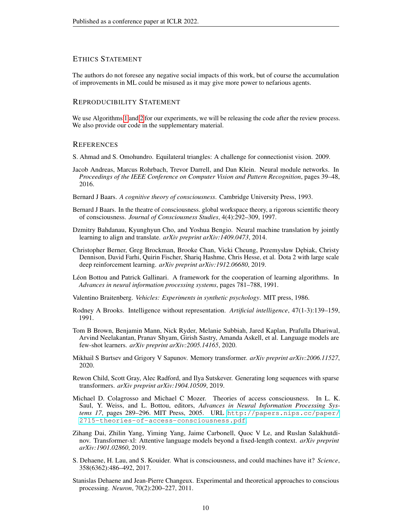# ETHICS STATEMENT

The authors do not foresee any negative social impacts of this work, but of course the accumulation of improvements in ML could be misused as it may give more power to nefarious agents.

# REPRODUCIBILITY STATEMENT

We use Algorithms [1](#page-13-0) and [2](#page-14-0) for our experiments, we will be releasing the code after the review process. We also provide our code in the supplementary material.

#### **REFERENCES**

<span id="page-9-15"></span>S. Ahmad and S. Omohundro. Equilateral triangles: A challenge for connectionist vision. 2009.

- <span id="page-9-10"></span>Jacob Andreas, Marcus Rohrbach, Trevor Darrell, and Dan Klein. Neural module networks. In *Proceedings of the IEEE Conference on Computer Vision and Pattern Recognition*, pages 39–48, 2016.
- <span id="page-9-4"></span>Bernard J Baars. *A cognitive theory of consciousness*. Cambridge University Press, 1993.
- <span id="page-9-6"></span>Bernard J Baars. In the theatre of consciousness. global workspace theory, a rigorous scientific theory of consciousness. *Journal of Consciousness Studies*, 4(4):292–309, 1997.
- <span id="page-9-8"></span>Dzmitry Bahdanau, Kyunghyun Cho, and Yoshua Bengio. Neural machine translation by jointly learning to align and translate. *arXiv preprint arXiv:1409.0473*, 2014.
- <span id="page-9-0"></span>Christopher Berner, Greg Brockman, Brooke Chan, Vicki Cheung, Przemysław D˛ebiak, Christy Dennison, David Farhi, Quirin Fischer, Shariq Hashme, Chris Hesse, et al. Dota 2 with large scale deep reinforcement learning. *arXiv preprint arXiv:1912.06680*, 2019.
- <span id="page-9-9"></span>Léon Bottou and Patrick Gallinari. A framework for the cooperation of learning algorithms. In *Advances in neural information processing systems*, pages 781–788, 1991.
- <span id="page-9-2"></span>Valentino Braitenberg. *Vehicles: Experiments in synthetic psychology*. MIT press, 1986.
- <span id="page-9-3"></span>Rodney A Brooks. Intelligence without representation. *Artificial intelligence*, 47(1-3):139–159, 1991.
- <span id="page-9-1"></span>Tom B Brown, Benjamin Mann, Nick Ryder, Melanie Subbiah, Jared Kaplan, Prafulla Dhariwal, Arvind Neelakantan, Pranav Shyam, Girish Sastry, Amanda Askell, et al. Language models are few-shot learners. *arXiv preprint arXiv:2005.14165*, 2020.
- <span id="page-9-11"></span>Mikhail S Burtsev and Grigory V Sapunov. Memory transformer. *arXiv preprint arXiv:2006.11527*, 2020.
- <span id="page-9-14"></span>Rewon Child, Scott Gray, Alec Radford, and Ilya Sutskever. Generating long sequences with sparse transformers. *arXiv preprint arXiv:1904.10509*, 2019.
- <span id="page-9-7"></span>Michael D. Colagrosso and Michael C Mozer. Theories of access consciousness. In L. K. Saul, Y. Weiss, and L. Bottou, editors, *Advances in Neural Information Processing Systems 17*, pages 289–296. MIT Press, 2005. URL [http://papers.nips.cc/paper/](http://papers.nips.cc/paper/2715-theories-of-access-consciousness.pdf) [2715-theories-of-access-consciousness.pdf](http://papers.nips.cc/paper/2715-theories-of-access-consciousness.pdf).
- <span id="page-9-12"></span>Zihang Dai, Zhilin Yang, Yiming Yang, Jaime Carbonell, Quoc V Le, and Ruslan Salakhutdinov. Transformer-xl: Attentive language models beyond a fixed-length context. *arXiv preprint arXiv:1901.02860*, 2019.
- <span id="page-9-5"></span>S. Dehaene, H. Lau, and S. Kouider. What is consciousness, and could machines have it? *Science*, 358(6362):486–492, 2017.
- <span id="page-9-13"></span>Stanislas Dehaene and Jean-Pierre Changeux. Experimental and theoretical approaches to conscious processing. *Neuron*, 70(2):200–227, 2011.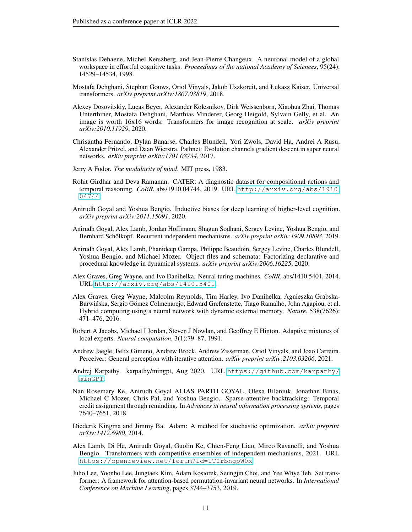- <span id="page-10-1"></span>Stanislas Dehaene, Michel Kerszberg, and Jean-Pierre Changeux. A neuronal model of a global workspace in effortful cognitive tasks. *Proceedings of the national Academy of Sciences*, 95(24): 14529–14534, 1998.
- <span id="page-10-2"></span>Mostafa Dehghani, Stephan Gouws, Oriol Vinyals, Jakob Uszkoreit, and Łukasz Kaiser. Universal transformers. *arXiv preprint arXiv:1807.03819*, 2018.
- <span id="page-10-14"></span>Alexey Dosovitskiy, Lucas Beyer, Alexander Kolesnikov, Dirk Weissenborn, Xiaohua Zhai, Thomas Unterthiner, Mostafa Dehghani, Matthias Minderer, Georg Heigold, Sylvain Gelly, et al. An image is worth 16x16 words: Transformers for image recognition at scale. *arXiv preprint arXiv:2010.11929*, 2020.
- <span id="page-10-9"></span>Chrisantha Fernando, Dylan Banarse, Charles Blundell, Yori Zwols, David Ha, Andrei A Rusu, Alexander Pritzel, and Daan Wierstra. Pathnet: Evolution channels gradient descent in super neural networks. *arXiv preprint arXiv:1701.08734*, 2017.
- <span id="page-10-0"></span>Jerry A Fodor. *The modularity of mind*. MIT press, 1983.
- <span id="page-10-15"></span>Rohit Girdhar and Deva Ramanan. CATER: A diagnostic dataset for compositional actions and temporal reasoning. *CoRR*, abs/1910.04744, 2019. URL [http://arxiv.org/abs/1910.](http://arxiv.org/abs/1910.04744) [04744](http://arxiv.org/abs/1910.04744).
- <span id="page-10-10"></span>Anirudh Goyal and Yoshua Bengio. Inductive biases for deep learning of higher-level cognition. *arXiv preprint arXiv:2011.15091*, 2020.
- <span id="page-10-3"></span>Anirudh Goyal, Alex Lamb, Jordan Hoffmann, Shagun Sodhani, Sergey Levine, Yoshua Bengio, and Bernhard Schölkopf. Recurrent independent mechanisms. *arXiv preprint arXiv:1909.10893*, 2019.
- <span id="page-10-4"></span>Anirudh Goyal, Alex Lamb, Phanideep Gampa, Philippe Beaudoin, Sergey Levine, Charles Blundell, Yoshua Bengio, and Michael Mozer. Object files and schemata: Factorizing declarative and procedural knowledge in dynamical systems. *arXiv preprint arXiv:2006.16225*, 2020.
- <span id="page-10-11"></span>Alex Graves, Greg Wayne, and Ivo Danihelka. Neural turing machines. *CoRR*, abs/1410.5401, 2014. URL <http://arxiv.org/abs/1410.5401>.
- <span id="page-10-12"></span>Alex Graves, Greg Wayne, Malcolm Reynolds, Tim Harley, Ivo Danihelka, Agnieszka Grabska-Barwinska, Sergio Gómez Colmenarejo, Edward Grefenstette, Tiago Ramalho, John Agapiou, et al. ´ Hybrid computing using a neural network with dynamic external memory. *Nature*, 538(7626): 471–476, 2016.
- <span id="page-10-8"></span>Robert A Jacobs, Michael I Jordan, Steven J Nowlan, and Geoffrey E Hinton. Adaptive mixtures of local experts. *Neural computation*, 3(1):79–87, 1991.
- <span id="page-10-13"></span>Andrew Jaegle, Felix Gimeno, Andrew Brock, Andrew Zisserman, Oriol Vinyals, and Joao Carreira. Perceiver: General perception with iterative attention. *arXiv preprint arXiv:2103.03206*, 2021.
- <span id="page-10-17"></span>Andrej Karpathy. karpathy/mingpt, Aug 2020. URL [https://github.com/karpathy/](https://github.com/karpathy/minGPT) [minGPT](https://github.com/karpathy/minGPT).
- <span id="page-10-6"></span>Nan Rosemary Ke, Anirudh Goyal ALIAS PARTH GOYAL, Olexa Bilaniuk, Jonathan Binas, Michael C Mozer, Chris Pal, and Yoshua Bengio. Sparse attentive backtracking: Temporal credit assignment through reminding. In *Advances in neural information processing systems*, pages 7640–7651, 2018.
- <span id="page-10-16"></span>Diederik Kingma and Jimmy Ba. Adam: A method for stochastic optimization. *arXiv preprint arXiv:1412.6980*, 2014.
- <span id="page-10-5"></span>Alex Lamb, Di He, Anirudh Goyal, Guolin Ke, Chien-Feng Liao, Mirco Ravanelli, and Yoshua Bengio. Transformers with competitive ensembles of independent mechanisms, 2021. URL <https://openreview.net/forum?id=1TIrbngpW0x>.
- <span id="page-10-7"></span>Juho Lee, Yoonho Lee, Jungtaek Kim, Adam Kosiorek, Seungjin Choi, and Yee Whye Teh. Set transformer: A framework for attention-based permutation-invariant neural networks. In *International Conference on Machine Learning*, pages 3744–3753, 2019.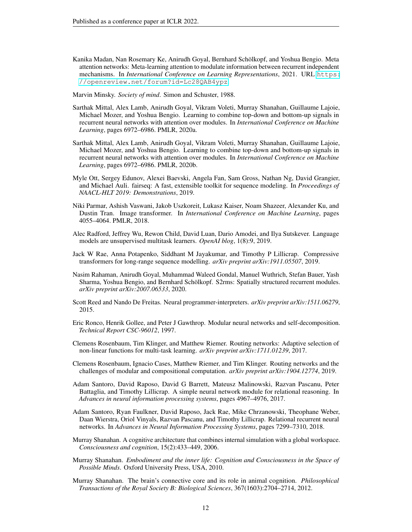<span id="page-11-8"></span>Kanika Madan, Nan Rosemary Ke, Anirudh Goyal, Bernhard Schölkopf, and Yoshua Bengio. Meta attention networks: Meta-learning attention to modulate information between recurrent independent mechanisms. In *International Conference on Learning Representations*, 2021. URL [https:](https://openreview.net/forum?id=Lc28QAB4ypz) [//openreview.net/forum?id=Lc28QAB4ypz](https://openreview.net/forum?id=Lc28QAB4ypz).

<span id="page-11-0"></span>Marvin Minsky. *Society of mind*. Simon and Schuster, 1988.

- <span id="page-11-7"></span>Sarthak Mittal, Alex Lamb, Anirudh Goyal, Vikram Voleti, Murray Shanahan, Guillaume Lajoie, Michael Mozer, and Yoshua Bengio. Learning to combine top-down and bottom-up signals in recurrent neural networks with attention over modules. In *International Conference on Machine Learning*, pages 6972–6986. PMLR, 2020a.
- <span id="page-11-15"></span>Sarthak Mittal, Alex Lamb, Anirudh Goyal, Vikram Voleti, Murray Shanahan, Guillaume Lajoie, Michael Mozer, and Yoshua Bengio. Learning to combine top-down and bottom-up signals in recurrent neural networks with attention over modules. In *International Conference on Machine Learning*, pages 6972–6986. PMLR, 2020b.
- <span id="page-11-17"></span>Myle Ott, Sergey Edunov, Alexei Baevski, Angela Fan, Sam Gross, Nathan Ng, David Grangier, and Michael Auli. fairseq: A fast, extensible toolkit for sequence modeling. In *Proceedings of NAACL-HLT 2019: Demonstrations*, 2019.
- <span id="page-11-4"></span>Niki Parmar, Ashish Vaswani, Jakob Uszkoreit, Lukasz Kaiser, Noam Shazeer, Alexander Ku, and Dustin Tran. Image transformer. In *International Conference on Machine Learning*, pages 4055–4064. PMLR, 2018.
- <span id="page-11-5"></span>Alec Radford, Jeffrey Wu, Rewon Child, David Luan, Dario Amodei, and Ilya Sutskever. Language models are unsupervised multitask learners. *OpenAI blog*, 1(8):9, 2019.
- <span id="page-11-14"></span>Jack W Rae, Anna Potapenko, Siddhant M Jayakumar, and Timothy P Lillicrap. Compressive transformers for long-range sequence modelling. *arXiv preprint arXiv:1911.05507*, 2019.
- <span id="page-11-6"></span>Nasim Rahaman, Anirudh Goyal, Muhammad Waleed Gondal, Manuel Wuthrich, Stefan Bauer, Yash Sharma, Yoshua Bengio, and Bernhard Schölkopf. S2rms: Spatially structured recurrent modules. *arXiv preprint arXiv:2007.06533*, 2020.
- <span id="page-11-11"></span>Scott Reed and Nando De Freitas. Neural programmer-interpreters. *arXiv preprint arXiv:1511.06279*, 2015.
- <span id="page-11-10"></span>Eric Ronco, Henrik Gollee, and Peter J Gawthrop. Modular neural networks and self-decomposition. *Technical Report CSC-96012*, 1997.
- <span id="page-11-12"></span>Clemens Rosenbaum, Tim Klinger, and Matthew Riemer. Routing networks: Adaptive selection of non-linear functions for multi-task learning. *arXiv preprint arXiv:1711.01239*, 2017.
- <span id="page-11-13"></span>Clemens Rosenbaum, Ignacio Cases, Matthew Riemer, and Tim Klinger. Routing networks and the challenges of modular and compositional computation. *arXiv preprint arXiv:1904.12774*, 2019.
- <span id="page-11-16"></span>Adam Santoro, David Raposo, David G Barrett, Mateusz Malinowski, Razvan Pascanu, Peter Battaglia, and Timothy Lillicrap. A simple neural network module for relational reasoning. In *Advances in neural information processing systems*, pages 4967–4976, 2017.
- <span id="page-11-9"></span>Adam Santoro, Ryan Faulkner, David Raposo, Jack Rae, Mike Chrzanowski, Theophane Weber, Daan Wierstra, Oriol Vinyals, Razvan Pascanu, and Timothy Lillicrap. Relational recurrent neural networks. In *Advances in Neural Information Processing Systems*, pages 7299–7310, 2018.
- <span id="page-11-1"></span>Murray Shanahan. A cognitive architecture that combines internal simulation with a global workspace. *Consciousness and cognition*, 15(2):433–449, 2006.
- <span id="page-11-2"></span>Murray Shanahan. *Embodiment and the inner life: Cognition and Consciousness in the Space of Possible Minds*. Oxford University Press, USA, 2010.
- <span id="page-11-3"></span>Murray Shanahan. The brain's connective core and its role in animal cognition. *Philosophical Transactions of the Royal Society B: Biological Sciences*, 367(1603):2704–2714, 2012.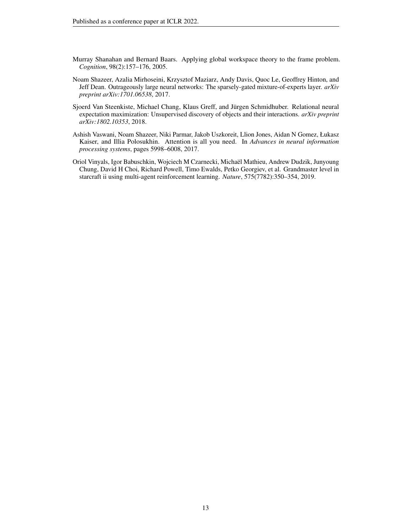- <span id="page-12-1"></span>Murray Shanahan and Bernard Baars. Applying global workspace theory to the frame problem. *Cognition*, 98(2):157–176, 2005.
- <span id="page-12-3"></span>Noam Shazeer, Azalia Mirhoseini, Krzysztof Maziarz, Andy Davis, Quoc Le, Geoffrey Hinton, and Jeff Dean. Outrageously large neural networks: The sparsely-gated mixture-of-experts layer. *arXiv preprint arXiv:1701.06538*, 2017.
- <span id="page-12-4"></span>Sjoerd Van Steenkiste, Michael Chang, Klaus Greff, and Jürgen Schmidhuber. Relational neural expectation maximization: Unsupervised discovery of objects and their interactions. *arXiv preprint arXiv:1802.10353*, 2018.
- <span id="page-12-2"></span>Ashish Vaswani, Noam Shazeer, Niki Parmar, Jakob Uszkoreit, Llion Jones, Aidan N Gomez, Łukasz Kaiser, and Illia Polosukhin. Attention is all you need. In *Advances in neural information processing systems*, pages 5998–6008, 2017.
- <span id="page-12-0"></span>Oriol Vinyals, Igor Babuschkin, Wojciech M Czarnecki, Michaël Mathieu, Andrew Dudzik, Junyoung Chung, David H Choi, Richard Powell, Timo Ewalds, Petko Georgiev, et al. Grandmaster level in starcraft ii using multi-agent reinforcement learning. *Nature*, 575(7782):350–354, 2019.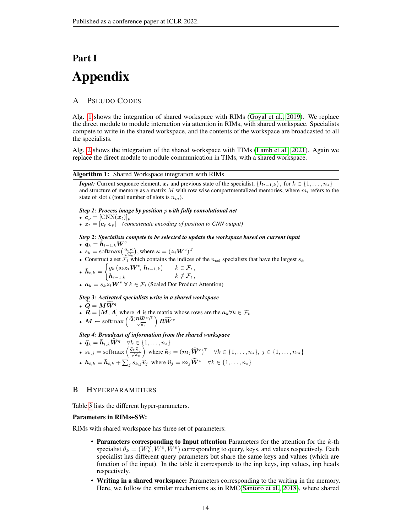# Part I Appendix

# A PSEUDO CODES

Alg. [1](#page-13-0) shows the integration of shared workspace with RIMs [\(Goyal et al., 2019\)](#page-10-3). We replace the direct module to module interaction via attention in RIMs, with shared workspace. Specialists compete to write in the shared workspace, and the contents of the workspace are broadcasted to all the specialists.

Alg. [2](#page-14-0) shows the integration of the shared workspace with TIMs [\(Lamb et al., 2021\)](#page-10-5). Again we replace the direct module to module communication in TIMs, with a shared workspace.

#### Algorithm 1: Shared Workspace integration with RIMs

<span id="page-13-0"></span>*Input:* Current sequence element,  $x_t$  and previous state of the specialist,  $\{h_{t-1,k}\}$ , for  $k \in \{1, \ldots, n_s\}$ and structure of memory as a matrix M with row wise compartmentalized memories, where  $m_i$  refers to the state of slot i (total number of slots is  $n_m$ ).

#### *Step 1: Process image by position* p *with fully convolutional net*

- $c_p = [\text{CNN}(\boldsymbol{x}_t)]_p$
- $z_t = [c_p \, e_p]$  *(concatenate encoding of position to CNN output)*

#### *Step 2: Specialists compete to be selected to update the workspace based on current input* •  $q_k = h_{t-1,k} W^q$

- $s_k = \text{softmax}\left(\frac{q_k \kappa}{\sqrt{d_e}}\right)$ , where  $\kappa = (z_t W^e)^{\text{T}}$
- Construct a set  $\mathcal{F}_t$  which contains the indices of the  $n_{\text{sel}}$  specialists that have the largest  $s_k$

$$
\bullet \ \ \bar{{\boldsymbol h}}_{t,k} = \begin{cases} g_k\left(s_k {\boldsymbol z}_t {\boldsymbol W}^v,\, {\boldsymbol h}_{t-1,k}\right) \quad & k\in\mathcal{F}_t\,,\\ {\boldsymbol h}_{t-1,k} \quad & k\notin\mathcal{F}_t\,, \end{cases}
$$

•  $a_k = s_k \dot{z}_t W^v \ \forall \ k \in \mathcal{F}_t$  (Scaled Dot Product Attention)

### *Step 3: Activated specialists write in a shared workspace*

$$
\bullet\;\widetilde{Q}=M\tilde{W}^q
$$

- $\widetilde{Q} = M \widetilde{W}^q$ <br>•  $R = [M; A]$  where A is the matrix whose rows are the  $a_k \forall k \in \mathcal{F}_t$
- $\bullet \,\, M \leftarrow \text{softmax}\left(\frac{\widetilde{\bm{Q}}(\bm{R}\widetilde{\bm{W}}^{e})^{\text{T}}}{\sqrt{d_{e}}}\right)\bm{R}\widetilde{\bm{W}}^{v}$

*Step 4: Broadcast of information from the shared workspace*

- $\widehat{q}_k = \bar{h}_{t,k} \widehat{W}^q \quad \forall k \in \{1, \ldots, n_s\}$
- $s_{k,j} = \text{softmax}\left(\frac{\hat{q}_k \hat{\kappa}_j}{\sqrt{d_e}}\right)$  where  $\widehat{\kappa}_j = (\boldsymbol{m}_j \widehat{\boldsymbol{W}}^e)^{\text{T}} \quad \forall k \in \{1, \dots, n_s\}, \ j \in \{1, \dots, n_m\}$
- $h_{t,k} = \bar{h}_{t,k} + \sum_j s_{k,j} \hat{v}_j$  where  $\hat{v}_j = m_j \widehat{W}^v \quad \forall k \in \{1, \ldots, n_s\}$

# B HYPERPARAMETERS

Table [3](#page-15-0) lists the different hyper-parameters.

#### Parameters in RIMs+SW:

RIMs with shared workspace has three set of parameters:

- Parameters corresponding to Input attention Parameters for the attention for the  $k$ -th specialist  $\theta_k = (W_k^{\overline{q}}, W^e, \overline{W}^v)$  corresponding to query, keys, and values respectively. Each specialist has different query parameters but share the same keys and values (which are function of the input). In the table it corresponds to the inp keys, inp values, inp heads respectively.
- Writing in a shared workspace: Parameters corresponding to the writing in the memory. Here, we follow the similar mechanisms as in RMC[\(Santoro et al., 2018\)](#page-11-9), where shared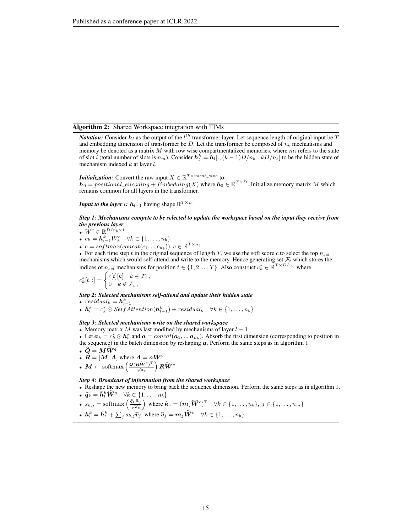#### Algorithm 2: Shared Workspace integration with TIMs

<span id="page-14-0"></span>*Notation:* Consider  $h_l$  as the output of the  $l^{th}$  transformer layer. Let sequence length of original input be T and embedding dimension of transformer be  $D$ . Let the transformer be composed of  $n<sub>b</sub>$  mechanisms and memory be denoted as a matrix  $M$  with row wise compartmentalized memories, where  $m_i$  refers to the state of slot *i* (total number of slots is  $n_m$ ). Consider  $h_l^k = \hat{h}_l[:,(k-1)D/n_b:kD/n_b]$  to be the hidden state of mechanism indexed  $k$  at layer  $l$ .

# *Initialization:* Convert the raw input  $X \in \mathbb{R}^{T \times vocab\_size}$  to

 $h_0 = positional\_encoding + \dot{E}mbedding(X)$  where  $h_0 \in \mathbb{R}^{T \times D}$ . Initialize memory matrix M which remains common for all layers in the transformer.

*Input to the layer l:*  $h_{l-1}$  having shape  $\mathbb{R}^{T\times D}$ 

#### *Step 1: Mechanisms compete to be selected to update the workspace based on the input they receive from the previous layer*

•  $W^c \in \mathbb{R}^{D/n_b \times 1}$ 

- $c_k = \mathbf{h}_{l-1}^k W_k^c \quad \forall k \in \{1,\ldots,n_b\}$
- $c = softmax(concat(c_1, ..., c_{n_b})), c \in \mathbb{R}^{T \times n_b}$

• For each time step t in the original sequence of length T, we use the soft score c to select the top  $n_{set}$ mechanisms which would self-attend and write to the memory. Hence generating set  $\mathcal{F}_t$  which stores the indices of  $n_{sel}$  mechanisms for position  $t \in \{1, 2, ..., T\}$ . Also construct  $c_k^* \in \mathbb{R}^{T \times D/n_b}$  where

$$
c_k^*[t, :] = \begin{cases} c[t][k] & k \in \mathcal{F}_t, \\ 0 & k \notin \mathcal{F}_t, \end{cases}
$$

*Step 2: Selected mechanisms self-attend and update their hidden state*

•  $residual_k = \mathbf{h}_{l-1}^k$ 

•  $\bar{\mathbf{h}}_l^k = c_k^* \odot SelfAttention(\mathbf{h}_{l-1}^k) + residual_k \quad \forall k \in \{1, ..., n_b\}$ 

*Step 3: Selected mechanisms write on the shared workspace*

• Memory matrix M was last modified by mechanisms of layer  $l - 1$ 

• Let  $a_k = c_k^* \odot \bar{h}_l^k$  and  $a = concat(a_1, ..., a_{n_b})$ . Absorb the first dimension (corresponding to position in the sequence) in the batch dimension by reshaping  $a$ . Perform the same steps as in algorithm 1.

•  $\widetilde{\bm{Q}} = \bm{M}\widetilde{\bm{W}}^{q}$ •  $\dot{R} = [M; A]$  where  $A = aW^v$ 

$$
\quad \bullet \ \ M \leftarrow \text{softmax}\left(\frac{\widetilde{\mathcal{Q}}(\mathbf{R}\widetilde{\mathbf{W}}^{e})^{\text{T}}}{\sqrt{d_{e}}}\right)\mathbf{R}\widetilde{\mathbf{W}}^{v}
$$

*Step 4: Broadcast of information from the shared workspace*

- Reshape the new memory to bring back the sequence dimension. Perform the same steps as in algorithm 1.
- $\widehat{q}_k = \bar{h}_l^k \widehat{W}^q \quad \forall k \in \{1, \ldots, n_b\}$

• 
$$
s_{k,j}
$$
 = softmax  $\left(\frac{\hat{q}_k \hat{\kappa}_j}{\sqrt{d_e}}\right)$  where  $\hat{\kappa}_j = (m_j \widehat{W}^e)^T \quad \forall k \in \{1, ..., n_b\}, j \in \{1, ..., n_m\}$ 

• 
$$
\mathbf{h}_l^k = \bar{\mathbf{h}}_l^k + \sum_j s_{k,j} \hat{\mathbf{v}}_j
$$
 where  $\hat{\mathbf{v}}_j = \mathbf{m}_j \widehat{\mathbf{W}}^v$   $\forall k \in \{1, ..., n_b\}$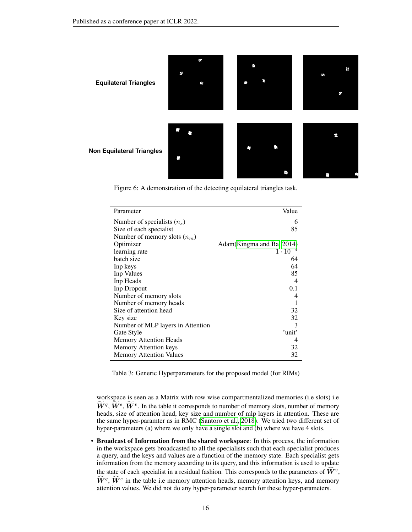

<span id="page-15-1"></span>Figure 6: A demonstration of the detecting equilateral triangles task.

| Parameter                         | Value                      |
|-----------------------------------|----------------------------|
| Number of specialists $(n_s)$     | 6                          |
| Size of each specialist           | 85                         |
| Number of memory slots $(n_m)$    |                            |
| Optimizer                         | Adam (Kingma and Ba, 2014) |
| learning rate                     | $1 \cdot 10^{-4}$          |
| batch size                        | 64                         |
| Inp keys                          | 64                         |
| Inp Values                        | 85                         |
| Inp Heads                         | 4                          |
| Inp Dropout                       | 0.1                        |
| Number of memory slots            | 4                          |
| Number of memory heads            |                            |
| Size of attention head            | 32                         |
| Key size                          | 32                         |
| Number of MLP layers in Attention | $\mathcal{E}$              |
| Gate Style                        | 'unit'                     |
| <b>Memory Attention Heads</b>     | 4                          |
| <b>Memory Attention keys</b>      | 32                         |
| <b>Memory Attention Values</b>    | 32                         |

<span id="page-15-0"></span>Table 3: Generic Hyperparameters for the proposed model (for RIMs)

workspace is seen as a Matrix with row wise compartmentalized memories (i.e slots) i.e  $W_q$ ,  $W_e$ ,  $\tilde{W}^v$ . In the table it corresponds to number of memory slots, number of memory slots,  $\tilde{W}^v$ . heads, size of attention head, key size and number of mlp layers in attention. These are the same hyper-paramter as in RMC [\(Santoro et al., 2018\)](#page-11-9). We tried two different set of hyper-parameters (a) where we only have a single slot and (b) where we have 4 slots.

• Broadcast of Information from the shared workspace: In this process, the information in the workspace gets broadcasted to all the specialists such that each specialist produces a query, and the keys and values are a function of the memory state. Each specialist gets information from the memory according to its query, and this information is used to update the state of each specialist in a residual fashion. This corresponds to the parameters of  $\widehat{W}^v$ ,  $\widehat{W}^q$ ,  $\widehat{W}^e$  in the table i.e memory attention heads, memory attention keys, and memory attention values. We did not do any hyper-parameter search for these hyper-parameters.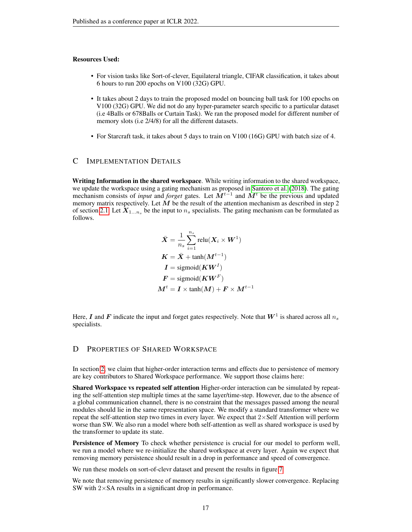## Resources Used:

- For vision tasks like Sort-of-clever, Equilateral triangle, CIFAR classification, it takes about 6 hours to run 200 epochs on V100 (32G) GPU.
- It takes about 2 days to train the proposed model on bouncing ball task for 100 epochs on V100 (32G) GPU. We did not do any hyper-parameter search specific to a particular dataset (i.e 4Balls or 678Balls or Curtain Task). We ran the proposed model for different number of memory slots (i.e 2/4/8) for all the different datasets.
- For Starcraft task, it takes about 5 days to train on V100 (16G) GPU with batch size of 4.

#### <span id="page-16-0"></span>C IMPLEMENTATION DETAILS

Writing Information in the shared workspace. While writing information to the shared workspace, we update the workspace using a gating mechanism as proposed in [Santoro et al.](#page-11-9) [\(2018\)](#page-11-9). The gating mechanism consists of *input* and *forget* gates. Let  $\hat{M}^{t-1}$  and  $M^t$  be the previous and updated memory matrix respectively. Let  $M$  be the result of the attention mechanism as described in step 2 of section [2.1.](#page-3-0) Let  $X_{1...n_s}$  be the input to  $n_s$  specialists. The gating mechanism can be formulated as follows.

$$
\bar{X} = \frac{1}{n_s} \sum_{i=1}^{n_s} \text{relu}(X_i \times W^1)
$$
\n
$$
K = \bar{X} + \text{tanh}(M^{t-1})
$$
\n
$$
I = \text{sigmoid}(KW^I)
$$
\n
$$
F = \text{sigmoid}(KW^F)
$$
\n
$$
M^t = I \times \text{tanh}(M) + F \times M^{t-1}
$$

Here,  $I$  and  $F$  indicate the input and forget gates respectively. Note that  $W^1$  is shared across all  $n_s$ specialists.

# <span id="page-16-1"></span>D PROPERTIES OF SHARED WORKSPACE

In section [2,](#page-2-1) we claim that higher-order interaction terms and effects due to persistence of memory are key contributors to Shared Workspace performance. We support those claims here:

Shared Workspace vs repeated self attention Higher-order interaction can be simulated by repeating the self-attention step multiple times at the same layer/time-step. However, due to the absence of a global communication channel, there is no constraint that the messages passed among the neural modules should lie in the same representation space. We modify a standard transformer where we repeat the self-attention step two times in every layer. We expect that 2×Self Attention will perform worse than SW. We also run a model where both self-attention as well as shared workspace is used by the transformer to update its state.

Persistence of Memory To check whether persistence is crucial for our model to perform well, we run a model where we re-initialize the shared workspace at every layer. Again we expect that removing memory persistence should result in a drop in performance and speed of convergence.

We run these models on sort-of-clevr dataset and present the results in figure [7](#page-17-2)

We note that removing persistence of memory results in significantly slower convergence. Replacing SW with  $2\times$ SA results in a significant drop in performance.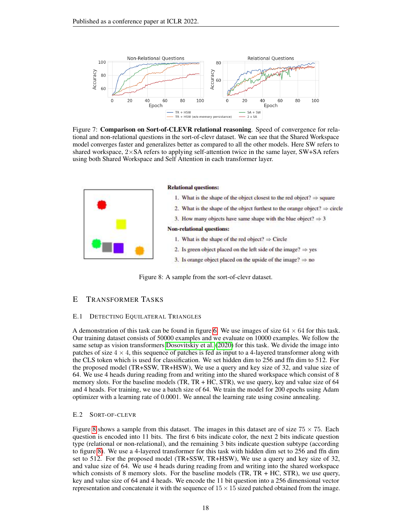

<span id="page-17-2"></span>Figure 7: **Comparison on Sort-of-CLEVR relational reasoning**. Speed of convergence for relational and non-relational questions in the sort-of-clevr dataset. We can see that the Shared Workspace model converges faster and generalizes better as compared to all the other models. Here SW refers to shared workspace,  $2\times SA$  refers to applying self-attention twice in the same layer, SW+SA refers using both Shared Workspace and Self Attention in each transformer layer.

| <b>Relational questions:</b>                                                           |
|----------------------------------------------------------------------------------------|
| 1. What is the shape of the object closest to the red object? $\Rightarrow$ square     |
| 2. What is the shape of the object furthest to the orange object? $\Rightarrow$ circle |
| 3. How many objects have same shape with the blue object? $\Rightarrow$ 3              |
| <b>Non-relational questions:</b>                                                       |
| 1. What is the shape of the red object? $\Rightarrow$ Circle                           |
| 2. Is green object placed on the left side of the image? $\Rightarrow$ yes             |
| 3. Is orange object placed on the upside of the image? $\Rightarrow$ no                |

<span id="page-17-1"></span>Figure 8: A sample from the sort-of-clevr dataset.

# <span id="page-17-0"></span>E TRANSFORMER TASKS

#### E.1 DETECTING EQUILATERAL TRIANGLES

A demonstration of this task can be found in figure [6.](#page-15-1) We use images of size  $64 \times 64$  for this task. Our training dataset consists of 50000 examples and we evaluate on 10000 examples. We follow the same setup as vision transformers [Dosovitskiy et al.](#page-10-14) [\(2020\)](#page-10-14) for this task. We divide the image into patches of size  $4 \times 4$ , this sequence of patches is fed as input to a 4-layered transformer along with the CLS token which is used for classification. We set hidden dim to 256 and ffn dim to 512. For the proposed model (TR+SSW, TR+HSW), We use a query and key size of 32, and value size of 64. We use 4 heads during reading from and writing into the shared workspace which consist of 8 memory slots. For the baseline models (TR, TR + HC, STR), we use query, key and value size of 64 and 4 heads. For training, we use a batch size of 64. We train the model for 200 epochs using Adam optimizer with a learning rate of 0.0001. We anneal the learning rate using cosine annealing.

#### E.2 SORT-OF-CLEVR

Figure [8](#page-17-1) shows a sample from this dataset. The images in this dataset are of size  $75 \times 75$ . Each question is encoded into 11 bits. The first 6 bits indicate color, the next 2 bits indicate question type (relational or non-relational), and the remaining 3 bits indicate question subtype (according to figure [8\)](#page-17-1). We use a 4-layered transformer for this task with hidden dim set to 256 and ffn dim set to 512. For the proposed model (TR+SSW, TR+HSW), We use a query and key size of 32, and value size of 64. We use 4 heads during reading from and writing into the shared workspace which consists of 8 memory slots. For the baseline models  $(TR, TR + HC, STR)$ , we use query, key and value size of 64 and 4 heads. We encode the 11 bit question into a 256 dimensional vector representation and concatenate it with the sequence of  $15 \times 15$  sized patched obtained from the image.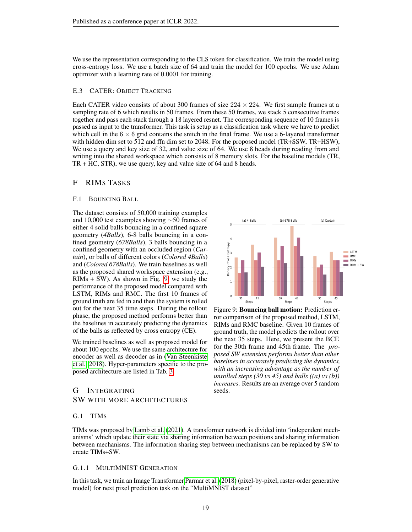We use the representation corresponding to the CLS token for classification. We train the model using cross-entropy loss. We use a batch size of 64 and train the model for 100 epochs. We use Adam optimizer with a learning rate of 0.0001 for training.

# E.3 CATER: OBJECT TRACKING

Each CATER video consists of about 300 frames of size  $224 \times 224$ . We first sample frames at a sampling rate of 6 which results in 50 frames. From these 50 frames, we stack 5 consecutive frames together and pass each stack through a 18 layered resnet. The corresponding sequence of 10 frames is passed as input to the transformer. This task is setup as a classification task where we have to predict which cell in the  $6 \times 6$  grid contains the snitch in the final frame. We use a 6-layered transformer with hidden dim set to 512 and ffn dim set to 2048. For the proposed model (TR+SSW, TR+HSW), We use a query and key size of 32, and value size of 64. We use 8 heads during reading from and writing into the shared workspace which consists of 8 memory slots. For the baseline models (TR, TR + HC, STR), we use query, key and value size of 64 and 8 heads.

# F RIMS TASKS

#### <span id="page-18-1"></span>F.1 BOUNCING BALL

The dataset consists of 50,000 training examples and 10,000 test examples showing ∼50 frames of either 4 solid balls bouncing in a confined square geometry (*4Balls*), 6-8 balls bouncing in a confined geometry (*678Balls*), 3 balls bouncing in a confined geometry with an occluded region (*Curtain*), or balls of different colors (*Colored 4Balls*) and (*Colored 678Balls*). We train baselines as well as the proposed shared workspace extension (e.g.,  $RIMS + SW$ ). As shown in Fig. [9,](#page-18-2) we study the performance of the proposed model compared with LSTM, RIMs and RMC. The first 10 frames of ground truth are fed in and then the system is rolled out for the next 35 time steps. During the rollout phase, the proposed method performs better than the baselines in accurately predicting the dynamics of the balls as reflected by cross entropy (CE).

We trained baselines as well as proposed model for about 100 epochs. We use the same architecture for encoder as well as decoder as in [\(Van Steenkiste](#page-12-4) [et al., 2018\)](#page-12-4). Hyper-parameters specific to the proposed architecture are listed in Tab. [3.](#page-15-0)

# <span id="page-18-0"></span>G INTEGRATING SW WITH MORE ARCHITECTURES



<span id="page-18-2"></span>Figure 9: Bouncing ball motion: Prediction error comparison of the proposed method, LSTM, RIMs and RMC baseline. Given 10 frames of ground truth, the model predicts the rollout over the next 35 steps. Here, we present the BCE for the 30th frame and 45th frame. The *proposed SW extension performs better than other baselines in accurately predicting the dynamics, with an increasing advantage as the number of unrolled steps (30 vs 45) and balls ((a) vs (b)) increases*. Results are an average over 5 random seeds.

#### G.1 TIMS

TIMs was proposed by [Lamb et al.](#page-10-5) [\(2021\)](#page-10-5). A transformer network is divided into 'independent mechanisms' which update their state via sharing information between positions and sharing information between mechanisms. The information sharing step between mechanisms can be replaced by SW to create TIMs+SW.

#### G.1.1 MULTIMNIST GENERATION

In this task, we train an Image Transformer [Parmar et al.](#page-11-4) [\(2018\)](#page-11-4) (pixel-by-pixel, raster-order generative model) for next pixel prediction task on the "MultiMNIST dataset"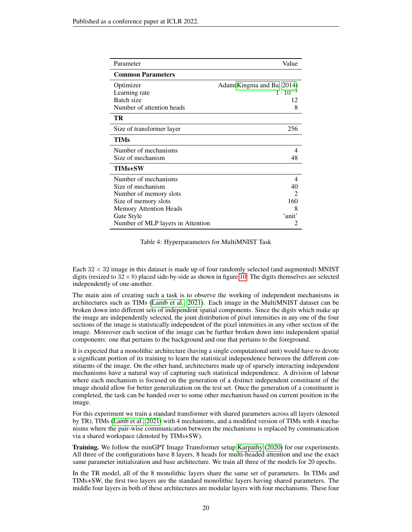| Parameter                         | Value                     |
|-----------------------------------|---------------------------|
| <b>Common Parameters</b>          |                           |
| Optimizer                         | Adam(Kingma and Ba, 2014) |
| Learning rate                     | $1 \cdot 10^{-3}$         |
| Batch size                        | 12                        |
| Number of attention heads         | 8                         |
| TR                                |                           |
| Size of transformer layer         | 256                       |
| TIMs                              |                           |
| Number of mechanisms              | 4                         |
| Size of mechanism                 | 48                        |
| <b>TIMs+SW</b>                    |                           |
| Number of mechanisms              | 4                         |
| Size of mechanism                 | 40                        |
| Number of memory slots            | $\mathfrak{D}$            |
| Size of memory slots              | 160                       |
| <b>Memory Attention Heads</b>     | 8                         |
| Gate Style                        | 'unit'                    |
| Number of MLP layers in Attention |                           |

Table 4: Hyperparameters for MultiMNIST Task

Each  $32 \times 32$  image in this dataset is made up of four randomly selected (and augmented) MNIST digits (resized to  $32 \times 8$ ) placed side-by-side as shown in figure [10.](#page-20-0) The digits themselves are selected independently of one-another.

The main aim of creating such a task is to observe the working of independent mechanisms in architectures such as TIMs [\(Lamb et al., 2021\)](#page-10-5). Each image in the MultiMNIST dataset can be broken down into different sets of independent spatial components. Since the digits which make up the image are independently selected, the joint distribution of pixel intensities in any one of the four sections of the image is statistically independent of the pixel intensities in any other section of the image. Moreover each section of the image can be further broken down into independent spatial components: one that pertains to the background and one that pertains to the foreground.

It is expected that a monolithic architecture (having a single computational unit) would have to devote a significant portion of its training to learn the statistical independence between the different constituents of the image. On the other hand, architectures made up of sparsely interacting independent mechanisms have a natural way of capturing such statistical independence. A division of labour where each mechanism is focused on the generation of a distinct independent constituent of the image should allow for better generalization on the test set. Once the generation of a constituent is completed, the task can be handed over to some other mechanism based on current position in the image.

For this experiment we train a standard transformer with shared parameters across all layers (denoted by TR), TIMs [\(Lamb et al., 2021\)](#page-10-5) with 4 mechanisms, and a modified version of TIMs with 4 mechanisms where the pair-wise communication between the mechanisms is replaced by communication via a shared workspace (denoted by TIMs+SW).

Training. We follow the minGPT Image Transformer setup [Karpathy](#page-10-17) [\(2020\)](#page-10-17) for our experiments. All three of the configurations have 8 layers, 8 heads for multi-headed attention and use the exact same parameter initialization and base architecture. We train all three of the models for 20 epochs.

In the TR model, all of the 8 monolithic layers share the same set of parameters. In TIMs and TIMs+SW, the first two layers are the standard monolithic layers having shared parameters. The middle four layers in both of these architectures are modular layers with four mechanisms. These four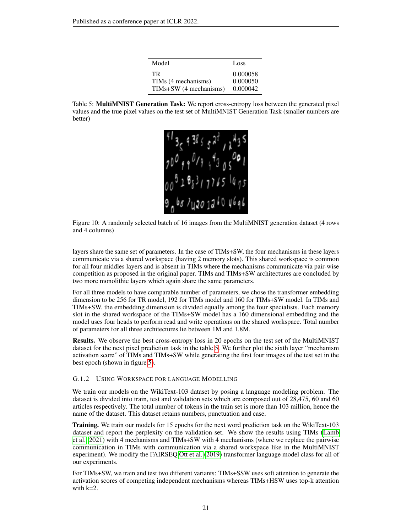| Model                  | Loss     |
|------------------------|----------|
| TR.                    | 0.000058 |
| TIMs (4 mechanisms)    | 0.000050 |
| TIMs+SW (4 mechanisms) | 0.000042 |

<span id="page-20-1"></span>Table 5: MultiMNIST Generation Task: We report cross-entropy loss between the generated pixel values and the true pixel values on the test set of MultiMNIST Generation Task (smaller numbers are better)



<span id="page-20-0"></span>Figure 10: A randomly selected batch of 16 images from the MultiMNIST generation dataset (4 rows and 4 columns)

layers share the same set of parameters. In the case of TIMs+SW, the four mechanisms in these layers communicate via a shared workspace (having 2 memory slots). This shared workspace is common for all four middles layers and is absent in TIMs where the mechanisms communicate via pair-wise competition as proposed in the original paper. TIMs and TIMs+SW architectures are concluded by two more monolithic layers which again share the same parameters.

For all three models to have comparable number of parameters, we chose the transformer embedding dimension to be 256 for TR model, 192 for TIMs model and 160 for TIMs+SW model. In TIMs and TIMs+SW, the embedding dimension is divided equally among the four specialists. Each memory slot in the shared workspace of the TIMs+SW model has a 160 dimensional embedding and the model uses four heads to perform read and write operations on the shared workspace. Total number of parameters for all three architectures lie between 1M and 1.8M.

Results. We observe the best cross-entropy loss in 20 epochs on the test set of the MultiMNIST dataset for the next pixel prediction task in the table [5.](#page-20-1) We further plot the sixth layer "mechanism activation score" of TIMs and TIMs+SW while generating the first four images of the test set in the best epoch (shown in figure [5\)](#page-7-0).

#### G.1.2 USING WORKSPACE FOR LANGUAGE MODELLING

We train our models on the WikiText-103 dataset by posing a language modeling problem. The dataset is divided into train, test and validation sets which are composed out of 28,475, 60 and 60 articles respectively. The total number of tokens in the train set is more than 103 million, hence the name of the dataset. This dataset retains numbers, punctuation and case.

Training. We train our models for 15 epochs for the next word prediction task on the WikiText-103 dataset and report the perplexity on the validation set. We show the results using TIMs [\(Lamb](#page-10-5) [et al., 2021\)](#page-10-5) with 4 mechanisms and TIMs+SW with 4 mechanisms (where we replace the pairwise communication in TIMs with communication via a shared workspace like in the MultiMNIST experiment). We modify the FAIRSEQ [Ott et al.](#page-11-17) [\(2019\)](#page-11-17) transformer language model class for all of our experiments.

For TIMs+SW, we train and test two different variants: TIMs+SSW uses soft attention to generate the activation scores of competing independent mechanisms whereas TIMs+HSW uses top-k attention with  $k=2$ .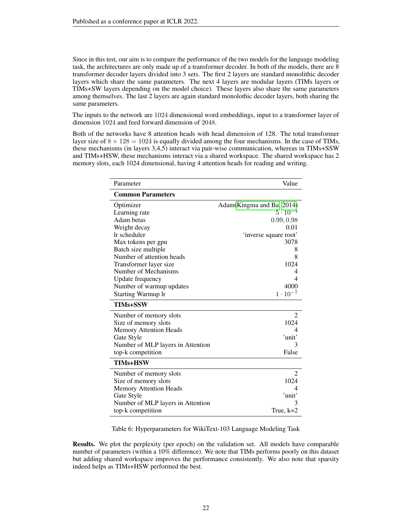Since in this test, our aim is to compare the performance of the two models for the language modeling task, the architectures are only made up of a transformer decoder. In both of the models, there are 8 transformer decoder layers divided into 3 sets. The first 2 layers are standard monolithic decoder layers which share the same parameters. The next 4 layers are modular layers (TIMs layers or TIMs+SW layers depending on the model choice). These layers also share the same parameters among themselves. The last 2 layers are again standard monolothic decoder layers, both sharing the same parameters.

The inputs to the network are 1024 dimensional word embeddings, input to a transformer layer of dimension 1024 and feed forward dimension of 2048.

Both of the networks have 8 attention heads with head dimension of 128. The total transformer layer size of  $8 \times 128 = 1024$  is equally divided among the four mechanisms. In the case of TIMs, these mechanisms (in layers 3,4,5) interact via pair-wise communication, whereas in TIMs+SSW and TIMs+HSW, these mechanisms interact via a shared workspace. The shared workspace has 2 memory slots, each 1024 dimensional, having 4 attention heads for reading and writing.

| Parameter                         | Value                      |
|-----------------------------------|----------------------------|
| <b>Common Parameters</b>          |                            |
| Optimizer                         | Adam (Kingma and Ba, 2014) |
| Learning rate                     | $5 \cdot 10^{-4}$          |
| Adam betas                        | 0.99, 0.98                 |
| Weight decay                      | 0.01                       |
| Ir scheduler                      | 'inverse square root'      |
| Max tokens per gpu                | 3078                       |
| Batch size multiple               | 8                          |
| Number of attention heads         | 8                          |
| Transformer layer size            | 1024                       |
| Number of Mechanisms              | 4                          |
| <b>Update frequency</b>           | 4                          |
| Number of warmup updates          | 4000                       |
| <b>Starting Warmup Ir</b>         | $1 \cdot 10^{-7}$          |
| <b>TIMs+SSW</b>                   |                            |
| Number of memory slots            | $\overline{c}$             |
| Size of memory slots              | 1024                       |
| <b>Memory Attention Heads</b>     | 4                          |
| Gate Style                        | 'unit'                     |
| Number of MLP layers in Attention | 3                          |
| top-k competition                 | False                      |
| <b>TIMs+HSW</b>                   |                            |
| Number of memory slots            | $\overline{2}$             |
| Size of memory slots              | 1024                       |
| <b>Memory Attention Heads</b>     | 4                          |
| Gate Style                        | 'unit'                     |
| Number of MLP layers in Attention |                            |
| top-k competition                 | True, $k=2$                |

Table 6: Hyperparameters for WikiText-103 Language Modeling Task

Results. We plot the perplexity (per epoch) on the validation set. All models have comparable number of parameters (within a 10% difference). We note that TIMs performs poorly on this dataset but adding shared workspace improves the performance consistently. We also note that sparsity indeed helps as TIMs+HSW performed the best.